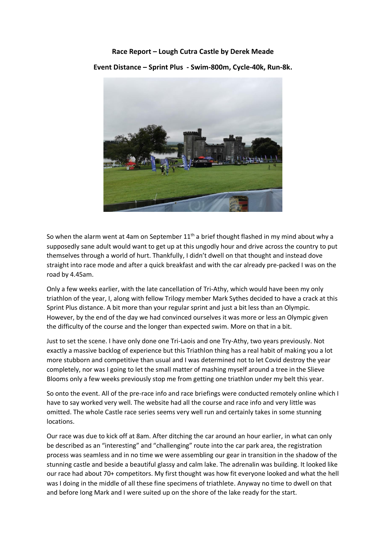## **Race Report – Lough Cutra Castle by Derek Meade**

**Event Distance – Sprint Plus - Swim-800m, Cycle-40k, Run-8k.**



So when the alarm went at 4am on September  $11<sup>th</sup>$  a brief thought flashed in my mind about why a supposedly sane adult would want to get up at this ungodly hour and drive across the country to put themselves through a world of hurt. Thankfully, I didn't dwell on that thought and instead dove straight into race mode and after a quick breakfast and with the car already pre-packed I was on the road by 4.45am.

Only a few weeks earlier, with the late cancellation of Tri-Athy, which would have been my only triathlon of the year, I, along with fellow Trilogy member Mark Sythes decided to have a crack at this Sprint Plus distance. A bit more than your regular sprint and just a bit less than an Olympic. However, by the end of the day we had convinced ourselves it was more or less an Olympic given the difficulty of the course and the longer than expected swim. More on that in a bit.

Just to set the scene. I have only done one Tri-Laois and one Try-Athy, two years previously. Not exactly a massive backlog of experience but this Triathlon thing has a real habit of making you a lot more stubborn and competitive than usual and I was determined not to let Covid destroy the year completely, nor was I going to let the small matter of mashing myself around a tree in the Slieve Blooms only a few weeks previously stop me from getting one triathlon under my belt this year.

So onto the event. All of the pre-race info and race briefings were conducted remotely online which I have to say worked very well. The website had all the course and race info and very little was omitted. The whole Castle race series seems very well run and certainly takes in some stunning locations.

Our race was due to kick off at 8am. After ditching the car around an hour earlier, in what can only be described as an "interesting" and "challenging" route into the car park area, the registration process was seamless and in no time we were assembling our gear in transition in the shadow of the stunning castle and beside a beautiful glassy and calm lake. The adrenalin was building. It looked like our race had about 70+ competitors. My first thought was how fit everyone looked and what the hell was I doing in the middle of all these fine specimens of triathlete. Anyway no time to dwell on that and before long Mark and I were suited up on the shore of the lake ready for the start.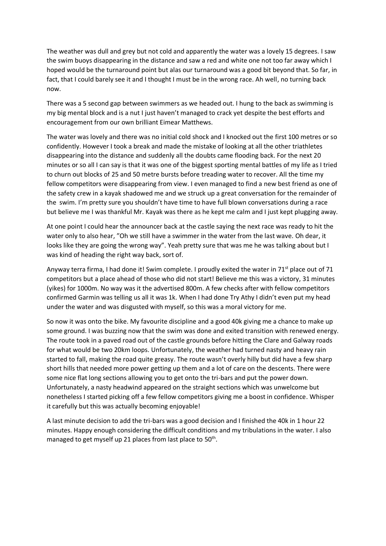The weather was dull and grey but not cold and apparently the water was a lovely 15 degrees. I saw the swim buoys disappearing in the distance and saw a red and white one not too far away which I hoped would be the turnaround point but alas our turnaround was a good bit beyond that. So far, in fact, that I could barely see it and I thought I must be in the wrong race. Ah well, no turning back now.

There was a 5 second gap between swimmers as we headed out. I hung to the back as swimming is my big mental block and is a nut I just haven't managed to crack yet despite the best efforts and encouragement from our own brilliant Eimear Matthews.

The water was lovely and there was no initial cold shock and I knocked out the first 100 metres or so confidently. However I took a break and made the mistake of looking at all the other triathletes disappearing into the distance and suddenly all the doubts came flooding back. For the next 20 minutes or so all I can say is that it was one of the biggest sporting mental battles of my life as I tried to churn out blocks of 25 and 50 metre bursts before treading water to recover. All the time my fellow competitors were disappearing from view. I even managed to find a new best friend as one of the safety crew in a kayak shadowed me and we struck up a great conversation for the remainder of the swim. I'm pretty sure you shouldn't have time to have full blown conversations during a race but believe me I was thankful Mr. Kayak was there as he kept me calm and I just kept plugging away.

At one point I could hear the announcer back at the castle saying the next race was ready to hit the water only to also hear, "Oh we still have a swimmer in the water from the last wave. Oh dear, it looks like they are going the wrong way". Yeah pretty sure that was me he was talking about but I was kind of heading the right way back, sort of.

Anyway terra firma, I had done it! Swim complete. I proudly exited the water in 71<sup>st</sup> place out of 71 competitors but a place ahead of those who did not start! Believe me this was a victory, 31 minutes (yikes) for 1000m. No way was it the advertised 800m. A few checks after with fellow competitors confirmed Garmin was telling us all it was 1k. When I had done Try Athy I didn't even put my head under the water and was disgusted with myself, so this was a moral victory for me.

So now it was onto the bike. My favourite discipline and a good 40k giving me a chance to make up some ground. I was buzzing now that the swim was done and exited transition with renewed energy. The route took in a paved road out of the castle grounds before hitting the Clare and Galway roads for what would be two 20km loops. Unfortunately, the weather had turned nasty and heavy rain started to fall, making the road quite greasy. The route wasn't overly hilly but did have a few sharp short hills that needed more power getting up them and a lot of care on the descents. There were some nice flat long sections allowing you to get onto the tri-bars and put the power down. Unfortunately, a nasty headwind appeared on the straight sections which was unwelcome but nonetheless I started picking off a few fellow competitors giving me a boost in confidence. Whisper it carefully but this was actually becoming enjoyable!

A last minute decision to add the tri-bars was a good decision and I finished the 40k in 1 hour 22 minutes. Happy enough considering the difficult conditions and my tribulations in the water. I also managed to get myself up 21 places from last place to 50<sup>th</sup>.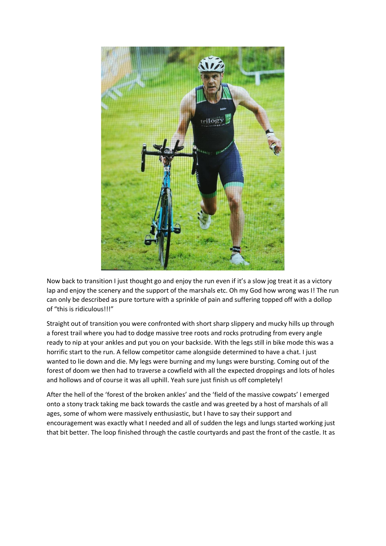

Now back to transition I just thought go and enjoy the run even if it's a slow jog treat it as a victory lap and enjoy the scenery and the support of the marshals etc. Oh my God how wrong was I! The run can only be described as pure torture with a sprinkle of pain and suffering topped off with a dollop of "this is ridiculous!!!"

Straight out of transition you were confronted with short sharp slippery and mucky hills up through a forest trail where you had to dodge massive tree roots and rocks protruding from every angle ready to nip at your ankles and put you on your backside. With the legs still in bike mode this was a horrific start to the run. A fellow competitor came alongside determined to have a chat. I just wanted to lie down and die. My legs were burning and my lungs were bursting. Coming out of the forest of doom we then had to traverse a cowfield with all the expected droppings and lots of holes and hollows and of course it was all uphill. Yeah sure just finish us off completely!

After the hell of the 'forest of the broken ankles' and the 'field of the massive cowpats' I emerged onto a stony track taking me back towards the castle and was greeted by a host of marshals of all ages, some of whom were massively enthusiastic, but I have to say their support and encouragement was exactly what I needed and all of sudden the legs and lungs started working just that bit better. The loop finished through the castle courtyards and past the front of the castle. It as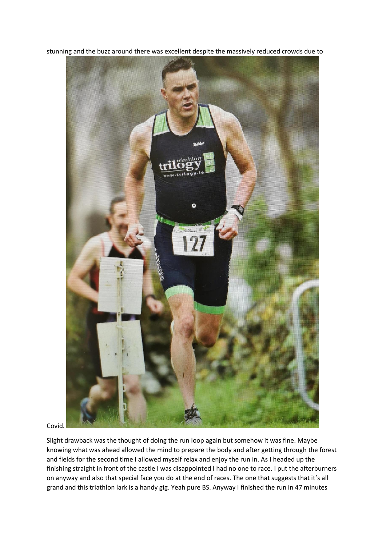

stunning and the buzz around there was excellent despite the massively reduced crowds due to

Covid.

Slight drawback was the thought of doing the run loop again but somehow it was fine. Maybe knowing what was ahead allowed the mind to prepare the body and after getting through the forest and fields for the second time I allowed myself relax and enjoy the run in. As I headed up the finishing straight in front of the castle I was disappointed I had no one to race. I put the afterburners on anyway and also that special face you do at the end of races. The one that suggests that it's all grand and this triathlon lark is a handy gig. Yeah pure BS. Anyway I finished the run in 47 minutes